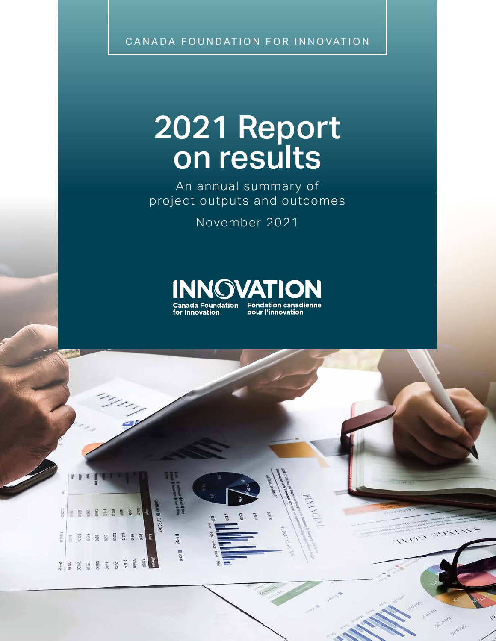CANADA FOUNDATION FOR INNOVATION

# 2021 Report on results

An annual summary of project outputs and outcomes

November 2021



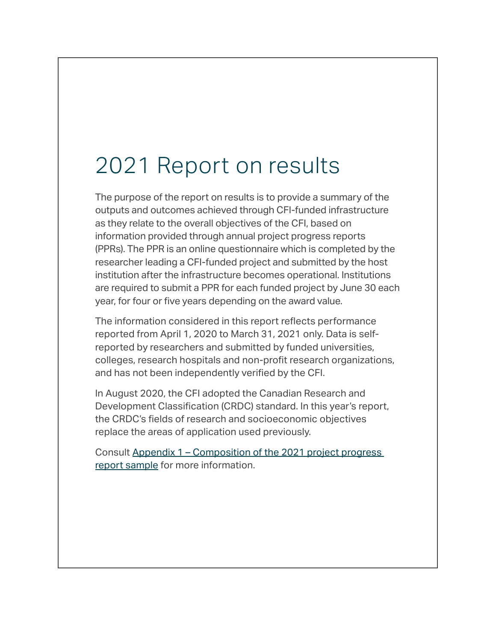## 2021 Report on results

The purpose of the report on results is to provide a summary of the outputs and outcomes achieved through CFI-funded infrastructure as they relate to the overall objectives of the CFI, based on information provided through annual project progress reports (PPRs). The PPR is an online questionnaire which is completed by the researcher leading a CFI-funded project and submitted by the host institution after the infrastructure becomes operational. Institutions are required to submit a PPR for each funded project by June 30 each year, for four or five years depending on the award value.

The information considered in this report reflects performance reported from April 1, 2020 to March 31, 2021 only. Data is selfreported by researchers and submitted by funded universities, colleges, research hospitals and non-profit research organizations, and has not been independently verified by the CFI.

In August 2020, the CFI adopted the Canadian Research and Development Classification (CRDC) standard. In this year's report, the CRDC's fields of research and socioeconomic objectives replace the areas of application used previously.

Consult [Appendix 1 – Composition of the 2021 project progress](#page-19-0)  [report sample](#page-19-0) for more information.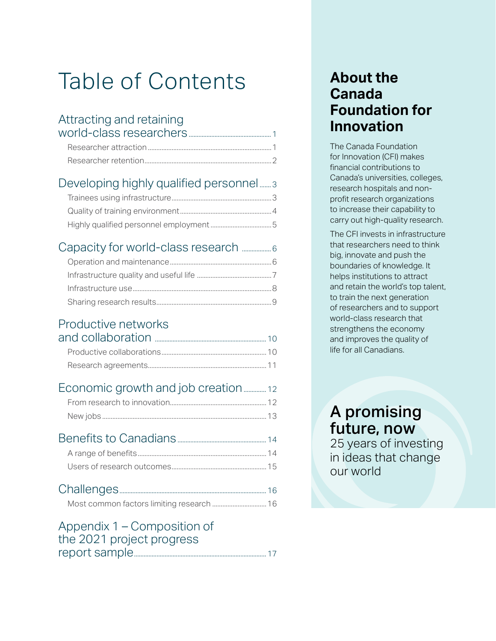# Table of Contents

### [Attracting and retaining](#page-3-0)

#### [Developing highly qualified personnel](#page-5-0) ........3

#### [Capacity for world-class research](#page-8-0) ..................6

#### [Productive networks](#page-12-0)

#### [Economic growth and job creation](#page-14-0)..............12

#### [Benefits to Canadians](#page-16-0).......................................................14 A range of benefits[............................................................................14](#page-16-0) Users of research outcomes[........................................................15](#page-17-0)

#### [Appendix 1 – Composition of](#page-19-0)  [the 2021 project progress](#page-19-0)  [report sample..................................................................................17](#page-19-0)

### **About the Canada Foundation for Innovation**

The Canada Foundation for Innovation (CFI) makes financial contributions to Canada's universities, colleges, research hospitals and nonprofit research organizations to increase their capability to carry out high-quality research.

The CFI invests in infrastructure that researchers need to think big, innovate and push the boundaries of knowledge. It helps institutions to attract and retain the world's top talent, to train the next generation of researchers and to support world-class research that strengthens the economy and improves the quality of life for all Canadians.

A promising future, now 25 years of investing in ideas that change our world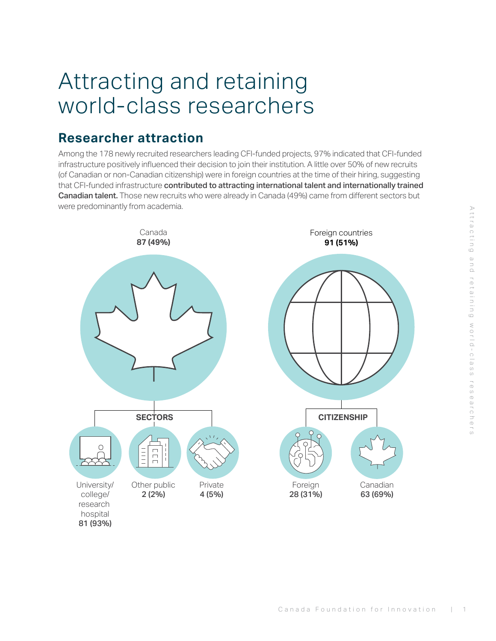## <span id="page-3-0"></span>Attracting and retaining world-class researchers

#### **Researcher attraction**

Among the 178 newly recruited researchers leading CFI-funded projects, 97% indicated that CFI-funded infrastructure positively influenced their decision to join their institution. A little over 50% of new recruits (of Canadian or non-Canadian citizenship) were in foreign countries at the time of their hiring, suggesting that CFI-funded infrastructure contributed to attracting international talent and internationally trained Canadian talent. Those new recruits who were already in Canada (49%) came from different sectors but were predominantly from academia.



Attracting and retaining world-class researchers

WOLID-Class researchers

Attracting and retaining

hospital 81 (93%)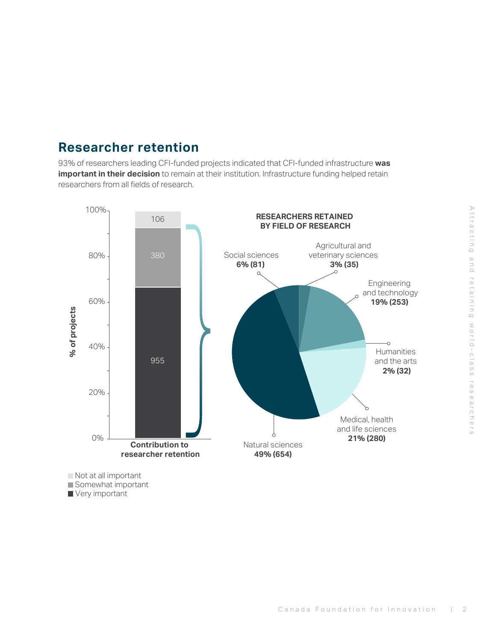#### <span id="page-4-0"></span>**Researcher retention**

93% of researchers leading CFI-funded projects indicated that CFI-funded infrastructure **was important in their decision** to remain at their institution. Infrastructure funding helped retain researchers from all fields of research.



Very important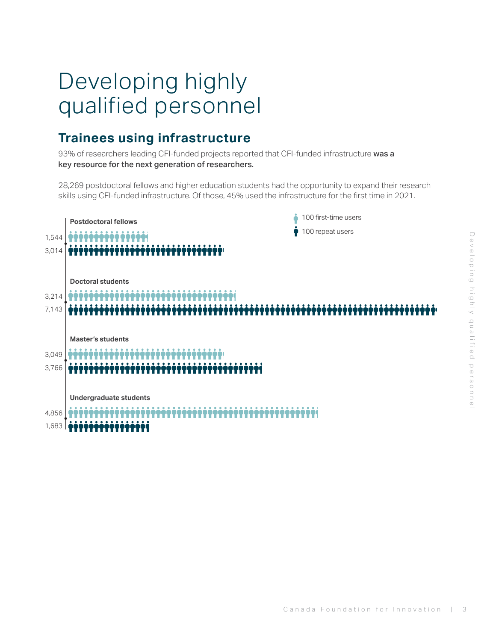## <span id="page-5-0"></span>Developing highly qualified personnel

#### **Trainees using infrastructure**

93% of researchers leading CFI-funded projects reported that CFI-funded infrastructure was a key resource for the next generation of researchers.

28,269 postdoctoral fellows and higher education students had the opportunity to expand their research skills using CFI-funded infrastructure. Of those, 45% used the infrastructure for the first time in 2021.

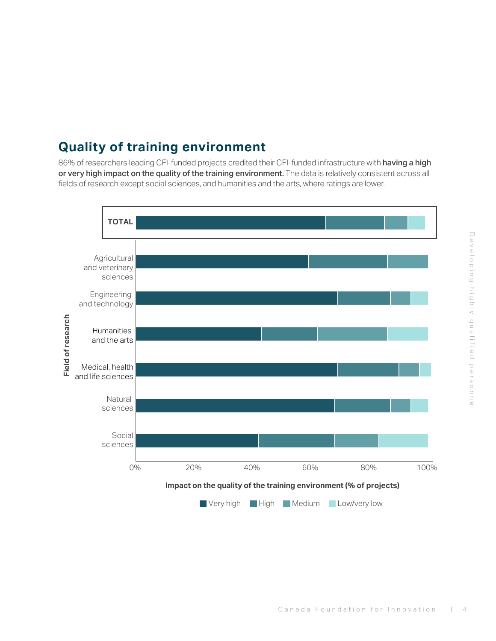### <span id="page-6-0"></span>**Quality of training environment**

86% of researchers leading CFI-funded projects credited their CFI-funded infrastructure with having a high or very high impact on the quality of the training environment. The data is relatively consistent across all fields of research except social sciences, and humanities and the arts, where ratings are lower.

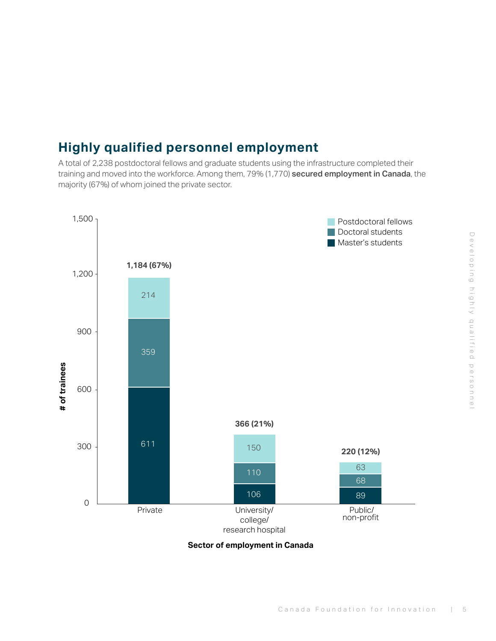### <span id="page-7-0"></span>**Highly qualified personnel employment**

A total of 2,238 postdoctoral fellows and graduate students using the infrastructure completed their training and moved into the workforce. Among them, 79% (1,770) secured employment in Canada, the majority (67%) of whom joined the private sector.



**Sector of employment in Canada**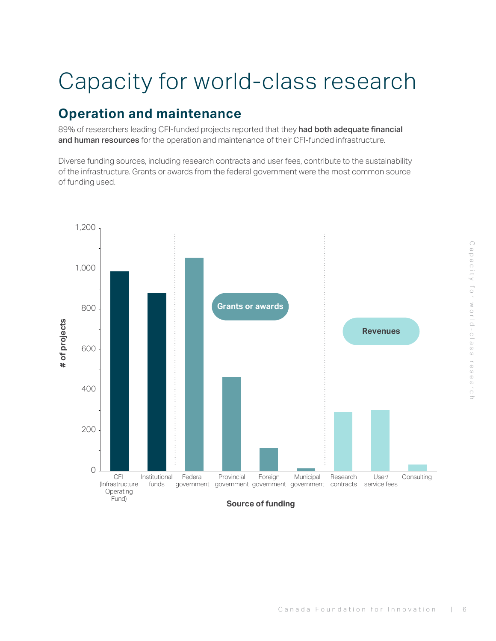# <span id="page-8-0"></span>Capacity for world-class research

### **Operation and maintenance**

89% of researchers leading CFI-funded projects reported that they had both adequate financial and human resources for the operation and maintenance of their CFI-funded infrastructure.

Diverse funding sources, including research contracts and user fees, contribute to the sustainability of the infrastructure. Grants or awards from the federal government were the most common source of funding used.



**Source of funding**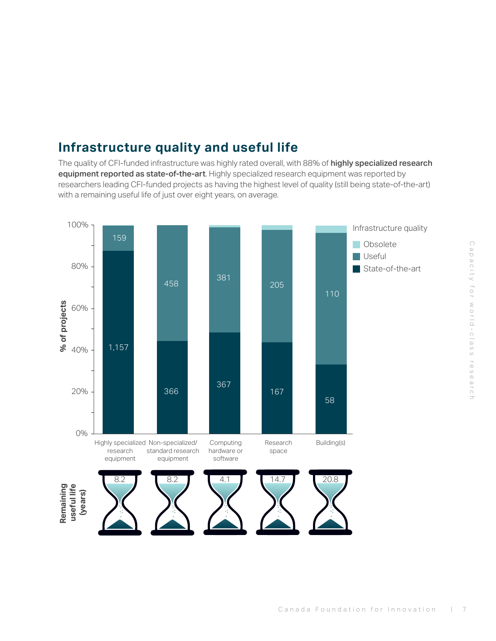### <span id="page-9-0"></span>**Infrastructure quality and useful life**

The quality of CFI-funded infrastructure was highly rated overall, with 88% of highly specialized research equipment reported as state-of-the-art. Highly specialized research equipment was reported by researchers leading CFI-funded projects as having the highest level of quality (still being state-of-the-art) with a remaining useful life of just over eight years, on average.

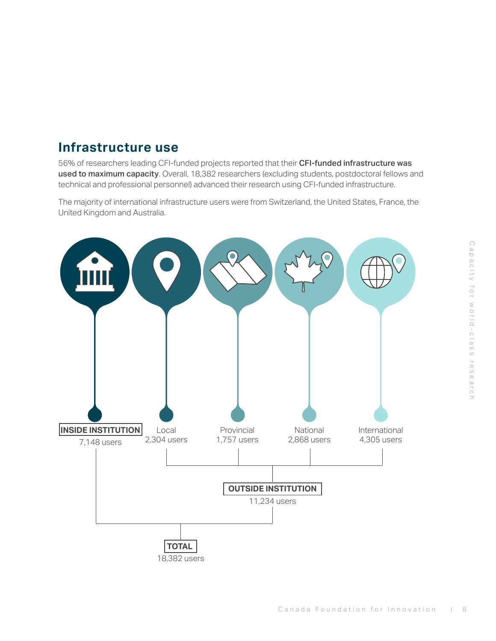#### <span id="page-10-0"></span>**Infrastructure use**

56% of researchers leading CFI-funded projects reported that their CFI-funded infrastructure was used to maximum capacity. Overall, 18,382 researchers (excluding students, postdoctoral fellows and technical and professional personnel) advanced their research using CFI-funded infrastructure.

The majority of international infrastructure users were from Switzerland, the United States, France, the United Kingdom and Australia.

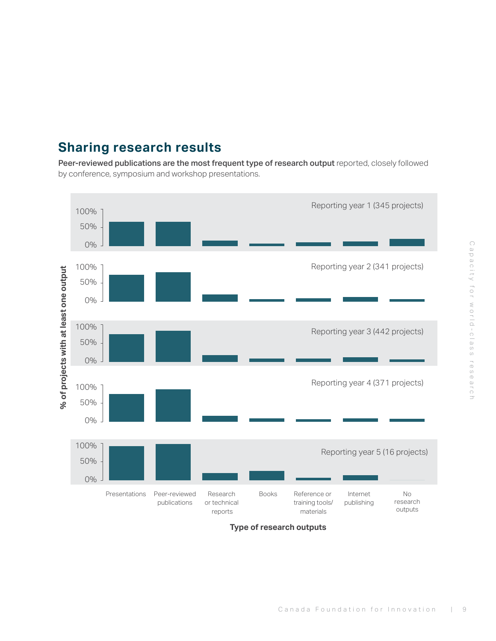### <span id="page-11-0"></span>**Sharing research results**

Peer-reviewed publications are the most frequent type of research output reported, closely followed by conference, symposium and workshop presentations.



**Type of research outputs**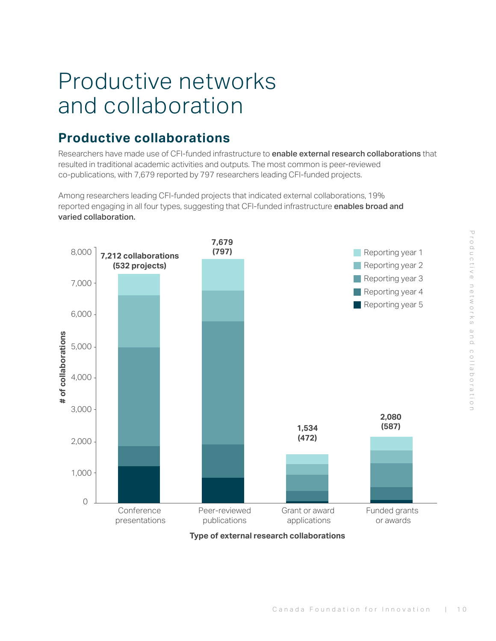## <span id="page-12-0"></span>Productive networks and collaboration

#### **Productive collaborations**

Researchers have made use of CFI-funded infrastructure to **enable external research collaborations** that resulted in traditional academic activities and outputs. The most common is peer-reviewed co-publications, with 7,679 reported by 797 researchers leading CFI-funded projects.

Among researchers leading CFI-funded projects that indicated external collaborations, 19% reported engaging in all four types, suggesting that CFI-funded infrastructure enables broad and varied collaboration.



**Type of external research collaborations**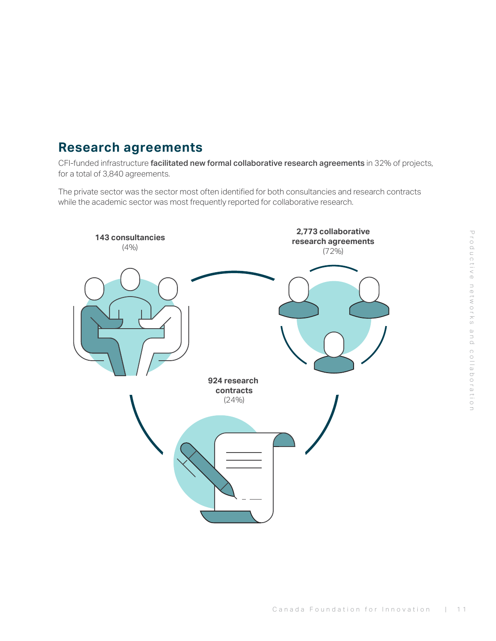#### <span id="page-13-0"></span>**Research agreements**

CFI-funded infrastructure facilitated new formal collaborative research agreements in 32% of projects, for a total of 3,840 agreements.

The private sector was the sector most often identified for both consultancies and research contracts while the academic sector was most frequently reported for collaborative research.

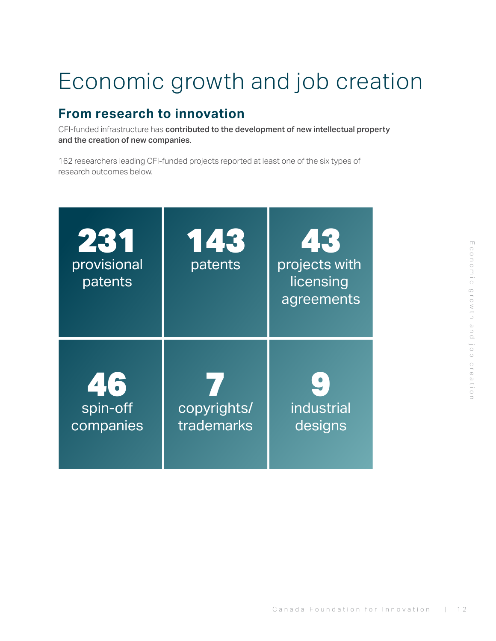# <span id="page-14-0"></span>Economic growth and job creation

#### **From research to innovation**

CFI-funded infrastructure has contributed to the development of new intellectual property and the creation of new companies.

162 researchers leading CFI-funded projects reported at least one of the six types of research outcomes below.

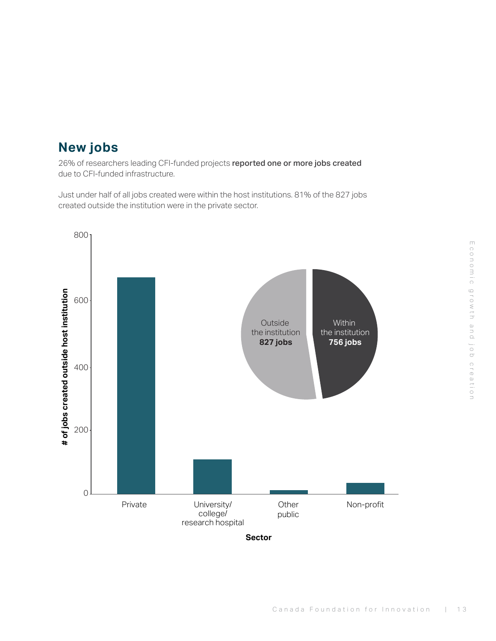#### <span id="page-15-0"></span>**New jobs**

26% of researchers leading CFI-funded projects reported one or more jobs created due to CFI-funded infrastructure.

Just under half of all jobs created were within the host institutions. 81% of the 827 jobs created outside the institution were in the private sector.

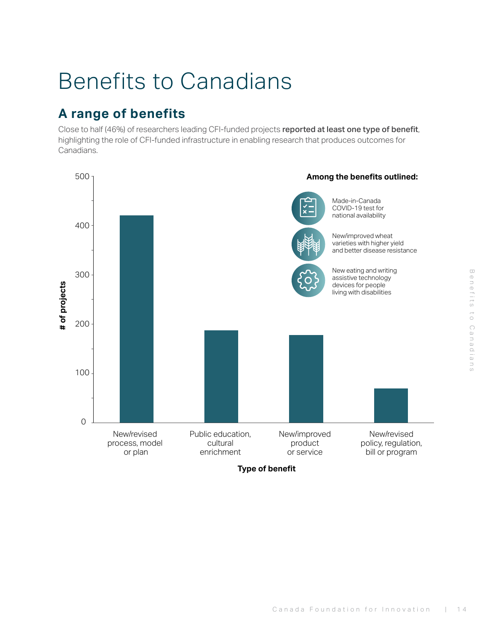## <span id="page-16-0"></span>Benefits to Canadians

### **A range of benefits**

Close to half (46%) of researchers leading CFI-funded projects reported at least one type of benefit, highlighting the role of CFI-funded infrastructure in enabling research that produces outcomes for Canadians.



**Type of benefit**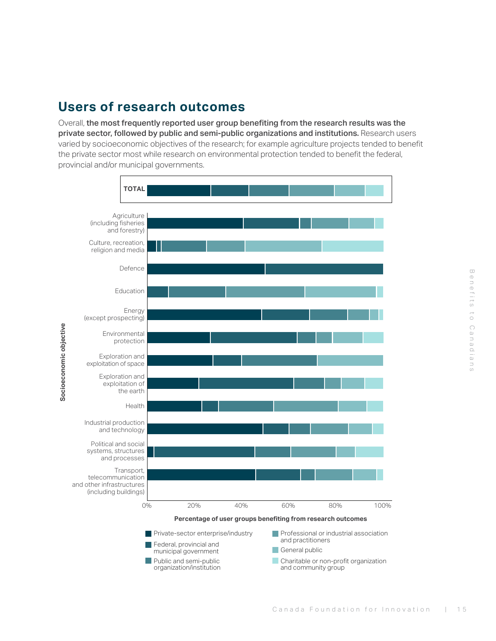#### <span id="page-17-0"></span>**Users of research outcomes**

Overall, the most frequently reported user group benefiting from the research results was the private sector, followed by public and semi-public organizations and institutions. Research users varied by socioeconomic objectives of the research; for example agriculture projects tended to benefit the private sector most while research on environmental protection tended to benefit the federal, provincial and/or municipal governments.

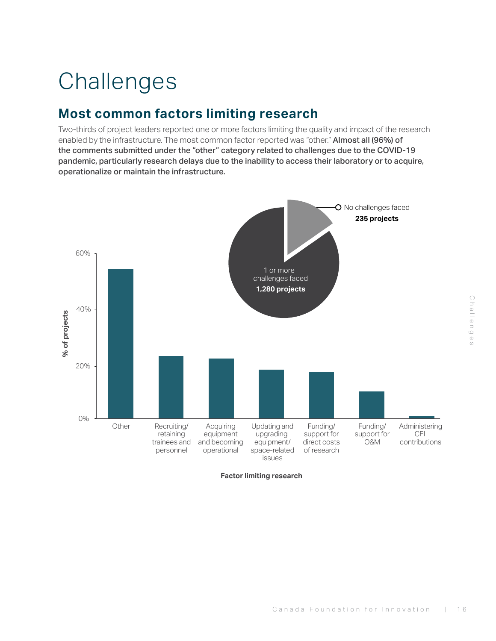# Challenges Challenges

# <span id="page-18-0"></span>**Challenges**

#### **Most common factors limiting research**

Two-thirds of project leaders reported one or more factors limiting the quality and impact of the research enabled by the infrastructure. The most common factor reported was "other." Almost all (96%) of the comments submitted under the "other" category related to challenges due to the COVID-19 pandemic, particularly research delays due to the inability to access their laboratory or to acquire, operationalize or maintain the infrastructure.



**Factor limiting research**